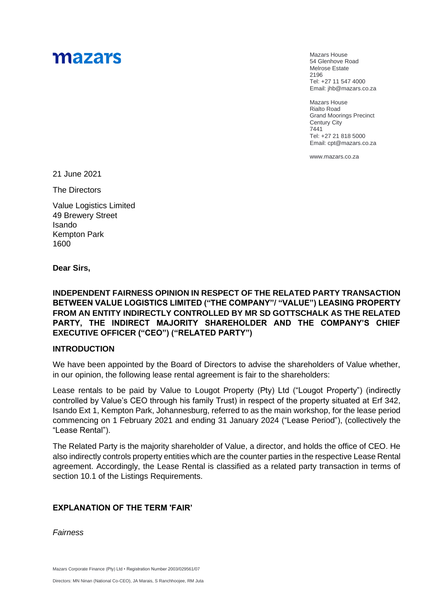# mazars

Mazars House 54 Glenhove Road Melrose Estate 2196 Tel: +27 11 547 4000 Email: jhb@mazars.co.za

Mazars House Rialto Road Grand Moorings Precinct Century City 7441 Tel: +27 21 818 5000 Email: cpt@mazars.co.za

[www.mazars.co.za](http://www.mazars.com/)

21 June 2021

The Directors

Value Logistics Limited 49 Brewery Street Isando Kempton Park 1600

**Dear Sirs,**

**INDEPENDENT FAIRNESS OPINION IN RESPECT OF THE RELATED PARTY TRANSACTION BETWEEN VALUE LOGISTICS LIMITED ("THE COMPANY"/ "VALUE") LEASING PROPERTY FROM AN ENTITY INDIRECTLY CONTROLLED BY MR SD GOTTSCHALK AS THE RELATED PARTY, THE INDIRECT MAJORITY SHAREHOLDER AND THE COMPANY'S CHIEF EXECUTIVE OFFICER ("CEO") ("RELATED PARTY")** 

#### **INTRODUCTION**

We have been appointed by the Board of Directors to advise the shareholders of Value whether, in our opinion, the following lease rental agreement is fair to the shareholders:

Lease rentals to be paid by Value to Lougot Property (Pty) Ltd ("Lougot Property") (indirectly controlled by Value's CEO through his family Trust) in respect of the property situated at Erf 342, Isando Ext 1, Kempton Park, Johannesburg, referred to as the main workshop, for the lease period commencing on 1 February 2021 and ending 31 January 2024 ("Lease Period"), (collectively the "Lease Rental").

The Related Party is the majority shareholder of Value, a director, and holds the office of CEO. He also indirectly controls property entities which are the counter parties in the respective Lease Rental agreement. Accordingly, the Lease Rental is classified as a related party transaction in terms of section 10.1 of the Listings Requirements.

#### **EXPLANATION OF THE TERM 'FAIR'**

*Fairness*

Mazars Corporate Finance (Pty) Ltd • Registration Number 2003/029561/07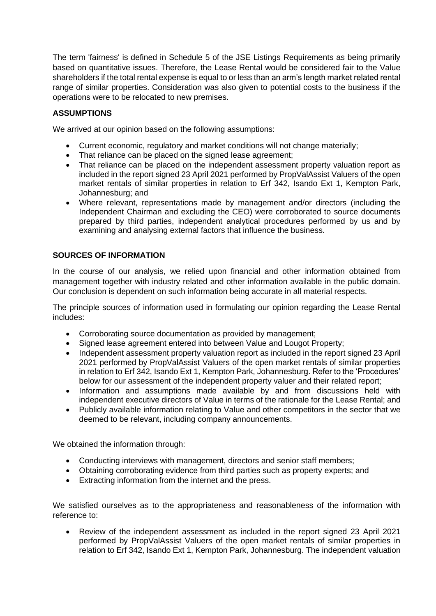The term 'fairness' is defined in Schedule 5 of the JSE Listings Requirements as being primarily based on quantitative issues. Therefore, the Lease Rental would be considered fair to the Value shareholders if the total rental expense is equal to or less than an arm's length market related rental range of similar properties. Consideration was also given to potential costs to the business if the operations were to be relocated to new premises.

## **ASSUMPTIONS**

We arrived at our opinion based on the following assumptions:

- Current economic, regulatory and market conditions will not change materially;
- That reliance can be placed on the signed lease agreement;
- That reliance can be placed on the independent assessment property valuation report as included in the report signed 23 April 2021 performed by PropValAssist Valuers of the open market rentals of similar properties in relation to Erf 342, Isando Ext 1, Kempton Park, Johannesburg; and
- Where relevant, representations made by management and/or directors (including the Independent Chairman and excluding the CEO) were corroborated to source documents prepared by third parties, independent analytical procedures performed by us and by examining and analysing external factors that influence the business.

### **SOURCES OF INFORMATION**

In the course of our analysis, we relied upon financial and other information obtained from management together with industry related and other information available in the public domain. Our conclusion is dependent on such information being accurate in all material respects.

The principle sources of information used in formulating our opinion regarding the Lease Rental includes:

- Corroborating source documentation as provided by management;
- Signed lease agreement entered into between Value and Lougot Property;
- Independent assessment property valuation report as included in the report signed 23 April 2021 performed by PropValAssist Valuers of the open market rentals of similar properties in relation to Erf 342, Isando Ext 1, Kempton Park, Johannesburg. Refer to the 'Procedures' below for our assessment of the independent property valuer and their related report;
- Information and assumptions made available by and from discussions held with independent executive directors of Value in terms of the rationale for the Lease Rental; and
- Publicly available information relating to Value and other competitors in the sector that we deemed to be relevant, including company announcements.

We obtained the information through:

- Conducting interviews with management, directors and senior staff members;
- Obtaining corroborating evidence from third parties such as property experts; and
- Extracting information from the internet and the press.

We satisfied ourselves as to the appropriateness and reasonableness of the information with reference to:

• Review of the independent assessment as included in the report signed 23 April 2021 performed by PropValAssist Valuers of the open market rentals of similar properties in relation to Erf 342, Isando Ext 1, Kempton Park, Johannesburg. The independent valuation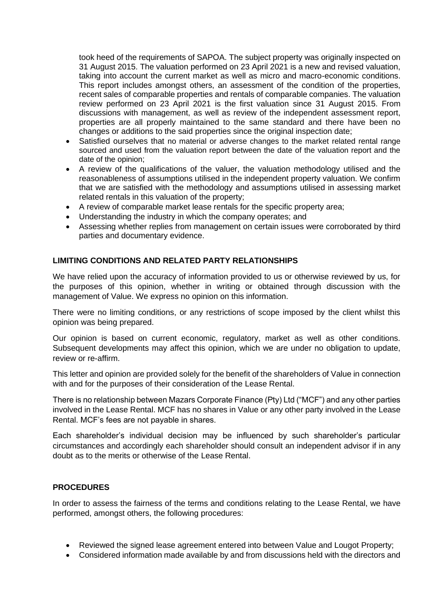took heed of the requirements of SAPOA. The subject property was originally inspected on 31 August 2015. The valuation performed on 23 April 2021 is a new and revised valuation, taking into account the current market as well as micro and macro-economic conditions. This report includes amongst others, an assessment of the condition of the properties, recent sales of comparable properties and rentals of comparable companies. The valuation review performed on 23 April 2021 is the first valuation since 31 August 2015. From discussions with management, as well as review of the independent assessment report, properties are all properly maintained to the same standard and there have been no changes or additions to the said properties since the original inspection date;

- Satisfied ourselves that no material or adverse changes to the market related rental range sourced and used from the valuation report between the date of the valuation report and the date of the opinion;
- A review of the qualifications of the valuer, the valuation methodology utilised and the reasonableness of assumptions utilised in the independent property valuation. We confirm that we are satisfied with the methodology and assumptions utilised in assessing market related rentals in this valuation of the property;
- A review of comparable market lease rentals for the specific property area;
- Understanding the industry in which the company operates; and
- Assessing whether replies from management on certain issues were corroborated by third parties and documentary evidence.

### **LIMITING CONDITIONS AND RELATED PARTY RELATIONSHIPS**

We have relied upon the accuracy of information provided to us or otherwise reviewed by us, for the purposes of this opinion, whether in writing or obtained through discussion with the management of Value. We express no opinion on this information.

There were no limiting conditions, or any restrictions of scope imposed by the client whilst this opinion was being prepared.

Our opinion is based on current economic, regulatory, market as well as other conditions. Subsequent developments may affect this opinion, which we are under no obligation to update, review or re-affirm.

This letter and opinion are provided solely for the benefit of the shareholders of Value in connection with and for the purposes of their consideration of the Lease Rental.

There is no relationship between Mazars Corporate Finance (Pty) Ltd ("MCF") and any other parties involved in the Lease Rental. MCF has no shares in Value or any other party involved in the Lease Rental. MCF's fees are not payable in shares.

Each shareholder's individual decision may be influenced by such shareholder's particular circumstances and accordingly each shareholder should consult an independent advisor if in any doubt as to the merits or otherwise of the Lease Rental.

#### **PROCEDURES**

In order to assess the fairness of the terms and conditions relating to the Lease Rental, we have performed, amongst others, the following procedures:

- Reviewed the signed lease agreement entered into between Value and Lougot Property;
- Considered information made available by and from discussions held with the directors and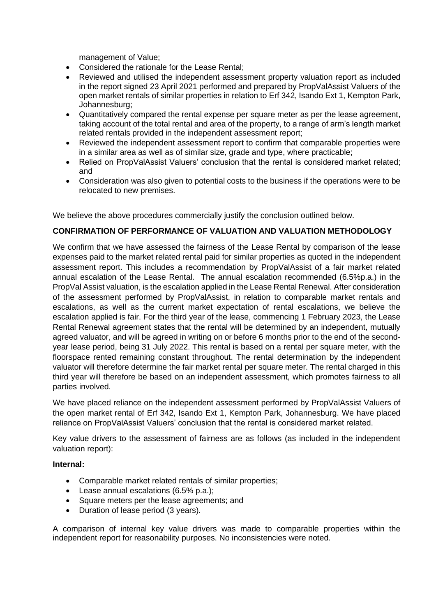management of Value;

- Considered the rationale for the Lease Rental;
- Reviewed and utilised the independent assessment property valuation report as included in the report signed 23 April 2021 performed and prepared by PropValAssist Valuers of the open market rentals of similar properties in relation to Erf 342, Isando Ext 1, Kempton Park, Johannesburg;
- Quantitatively compared the rental expense per square meter as per the lease agreement, taking account of the total rental and area of the property, to a range of arm's length market related rentals provided in the independent assessment report;
- Reviewed the independent assessment report to confirm that comparable properties were in a similar area as well as of similar size, grade and type, where practicable;
- Relied on PropValAssist Valuers' conclusion that the rental is considered market related: and
- Consideration was also given to potential costs to the business if the operations were to be relocated to new premises.

We believe the above procedures commercially justify the conclusion outlined below.

#### **CONFIRMATION OF PERFORMANCE OF VALUATION AND VALUATION METHODOLOGY**

We confirm that we have assessed the fairness of the Lease Rental by comparison of the lease expenses paid to the market related rental paid for similar properties as quoted in the independent assessment report. This includes a recommendation by PropValAssist of a fair market related annual escalation of the Lease Rental. The annual escalation recommended (6.5%p.a.) in the PropVal Assist valuation, is the escalation applied in the Lease Rental Renewal. After consideration of the assessment performed by PropValAssist, in relation to comparable market rentals and escalations, as well as the current market expectation of rental escalations, we believe the escalation applied is fair. For the third year of the lease, commencing 1 February 2023, the Lease Rental Renewal agreement states that the rental will be determined by an independent, mutually agreed valuator, and will be agreed in writing on or before 6 months prior to the end of the secondyear lease period, being 31 July 2022. This rental is based on a rental per square meter, with the floorspace rented remaining constant throughout. The rental determination by the independent valuator will therefore determine the fair market rental per square meter. The rental charged in this third year will therefore be based on an independent assessment, which promotes fairness to all parties involved.

We have placed reliance on the independent assessment performed by PropValAssist Valuers of the open market rental of Erf 342, Isando Ext 1, Kempton Park, Johannesburg. We have placed reliance on PropValAssist Valuers' conclusion that the rental is considered market related.

Key value drivers to the assessment of fairness are as follows (as included in the independent valuation report):

#### **Internal:**

- Comparable market related rentals of similar properties;
- Lease annual escalations (6.5% p.a.);
- Square meters per the lease agreements; and
- Duration of lease period (3 years).

A comparison of internal key value drivers was made to comparable properties within the independent report for reasonability purposes. No inconsistencies were noted.